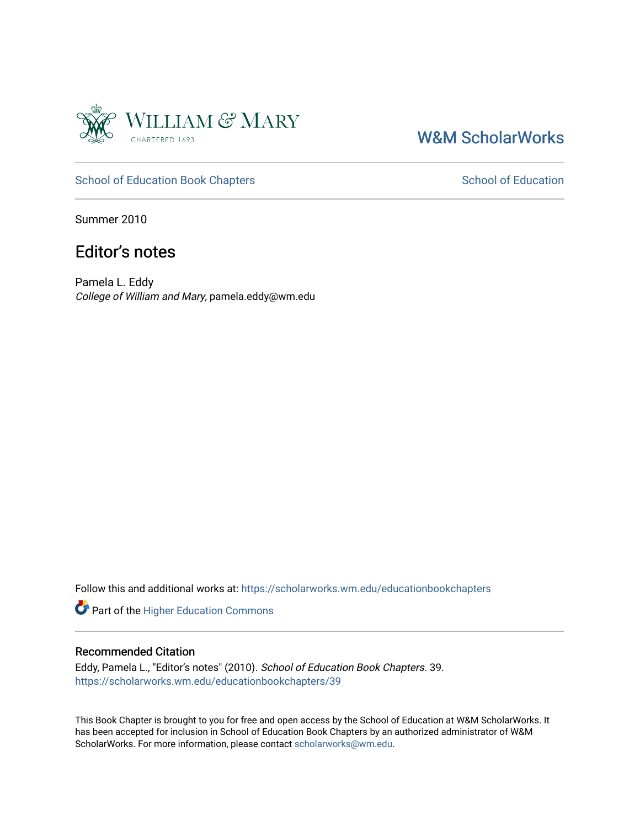

# [W&M ScholarWorks](https://scholarworks.wm.edu/)

## [School of Education Book Chapters](https://scholarworks.wm.edu/educationbookchapters) [School of Education](https://scholarworks.wm.edu/education) School of Education

Summer 2010

# Editor's notes

Pamela L. Eddy College of William and Mary, pamela.eddy@wm.edu

Follow this and additional works at: [https://scholarworks.wm.edu/educationbookchapters](https://scholarworks.wm.edu/educationbookchapters?utm_source=scholarworks.wm.edu%2Feducationbookchapters%2F39&utm_medium=PDF&utm_campaign=PDFCoverPages)

**Part of the Higher Education Commons** 

### Recommended Citation

Eddy, Pamela L., "Editor's notes" (2010). School of Education Book Chapters. 39. [https://scholarworks.wm.edu/educationbookchapters/39](https://scholarworks.wm.edu/educationbookchapters/39?utm_source=scholarworks.wm.edu%2Feducationbookchapters%2F39&utm_medium=PDF&utm_campaign=PDFCoverPages) 

This Book Chapter is brought to you for free and open access by the School of Education at W&M ScholarWorks. It has been accepted for inclusion in School of Education Book Chapters by an authorized administrator of W&M ScholarWorks. For more information, please contact [scholarworks@wm.edu.](mailto:scholarworks@wm.edu)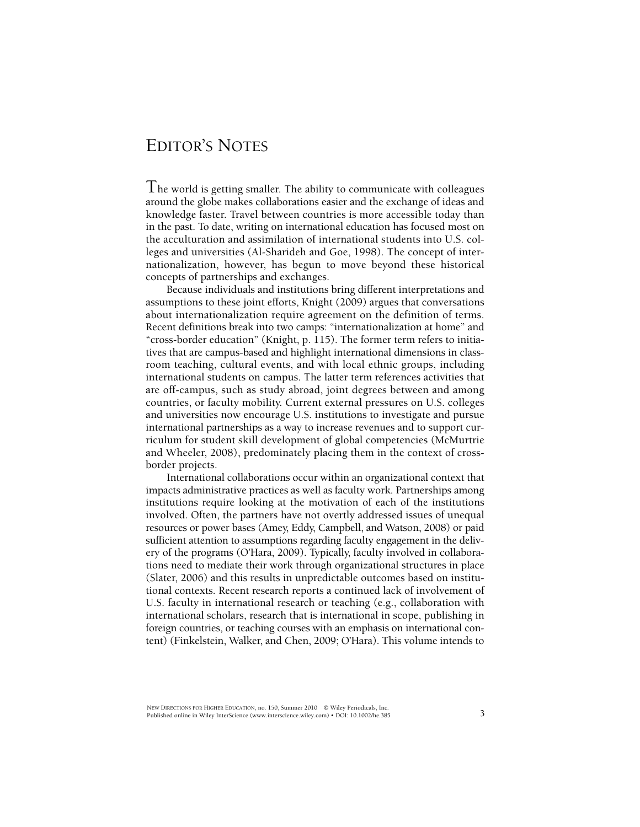## EDITOR'S NOTES

 $T$ he world is getting smaller. The ability to communicate with colleagues around the globe makes collaborations easier and the exchange of ideas and knowledge faster. Travel between countries is more accessible today than in the past. To date, writing on international education has focused most on the acculturation and assimilation of international students into U.S. colleges and universities (Al-Sharideh and Goe, 1998). The concept of internationalization, however, has begun to move beyond these historical concepts of partnerships and exchanges.

Because individuals and institutions bring different interpretations and assumptions to these joint efforts, Knight (2009) argues that conversations about internationalization require agreement on the definition of terms. Recent definitions break into two camps: "internationalization at home" and "cross-border education" (Knight, p. 115). The former term refers to initiatives that are campus-based and highlight international dimensions in classroom teaching, cultural events, and with local ethnic groups, including international students on campus. The latter term references activities that are off-campus, such as study abroad, joint degrees between and among countries, or faculty mobility. Current external pressures on U.S. colleges and universities now encourage U.S. institutions to investigate and pursue international partnerships as a way to increase revenues and to support curriculum for student skill development of global competencies (McMurtrie and Wheeler, 2008), predominately placing them in the context of crossborder projects.

International collaborations occur within an organizational context that impacts administrative practices as well as faculty work. Partnerships among institutions require looking at the motivation of each of the institutions involved. Often, the partners have not overtly addressed issues of unequal resources or power bases (Amey, Eddy, Campbell, and Watson, 2008) or paid sufficient attention to assumptions regarding faculty engagement in the delivery of the programs (O'Hara, 2009). Typically, faculty involved in collaborations need to mediate their work through organizational structures in place (Slater, 2006) and this results in unpredictable outcomes based on institutional contexts. Recent research reports a continued lack of involvement of U.S. faculty in international research or teaching (e.g., collaboration with international scholars, research that is international in scope, publishing in foreign countries, or teaching courses with an emphasis on international content) (Finkelstein, Walker, and Chen, 2009; O'Hara). This volume intends to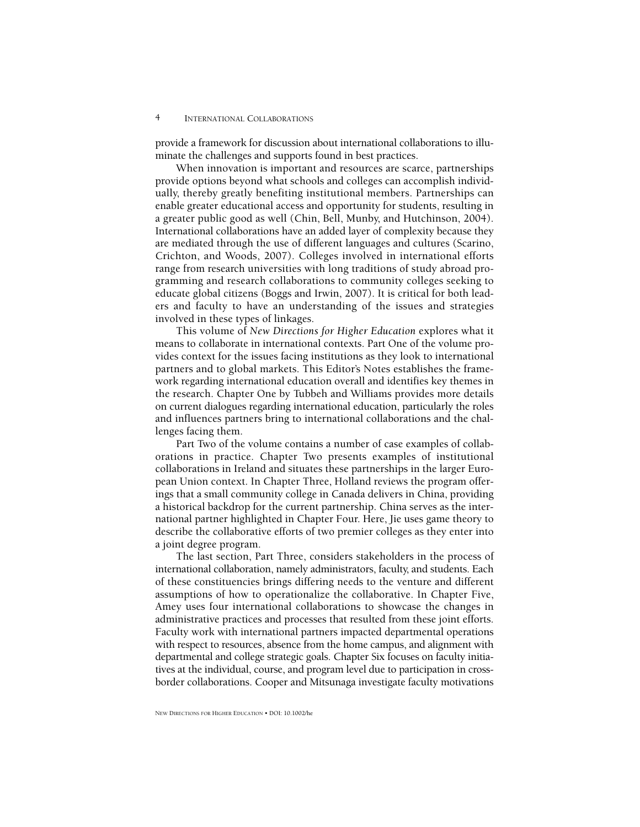#### 4 INTERNATIONAL COLLABORATIONS

provide a framework for discussion about international collaborations to illuminate the challenges and supports found in best practices.

When innovation is important and resources are scarce, partnerships provide options beyond what schools and colleges can accomplish individually, thereby greatly benefiting institutional members. Partnerships can enable greater educational access and opportunity for students, resulting in a greater public good as well (Chin, Bell, Munby, and Hutchinson, 2004). International collaborations have an added layer of complexity because they are mediated through the use of different languages and cultures (Scarino, Crichton, and Woods, 2007). Colleges involved in international efforts range from research universities with long traditions of study abroad programming and research collaborations to community colleges seeking to educate global citizens (Boggs and Irwin, 2007). It is critical for both leaders and faculty to have an understanding of the issues and strategies involved in these types of linkages.

This volume of *New Directions for Higher Education* explores what it means to collaborate in international contexts. Part One of the volume provides context for the issues facing institutions as they look to international partners and to global markets. This Editor's Notes establishes the framework regarding international education overall and identifies key themes in the research. Chapter One by Tubbeh and Williams provides more details on current dialogues regarding international education, particularly the roles and influences partners bring to international collaborations and the challenges facing them.

Part Two of the volume contains a number of case examples of collaborations in practice. Chapter Two presents examples of institutional collaborations in Ireland and situates these partnerships in the larger European Union context. In Chapter Three, Holland reviews the program offerings that a small community college in Canada delivers in China, providing a historical backdrop for the current partnership. China serves as the international partner highlighted in Chapter Four. Here, Jie uses game theory to describe the collaborative efforts of two premier colleges as they enter into a joint degree program.

The last section, Part Three, considers stakeholders in the process of international collaboration, namely administrators, faculty, and students. Each of these constituencies brings differing needs to the venture and different assumptions of how to operationalize the collaborative. In Chapter Five, Amey uses four international collaborations to showcase the changes in administrative practices and processes that resulted from these joint efforts. Faculty work with international partners impacted departmental operations with respect to resources, absence from the home campus, and alignment with departmental and college strategic goals. Chapter Six focuses on faculty initiatives at the individual, course, and program level due to participation in crossborder collaborations. Cooper and Mitsunaga investigate faculty motivations

NEW DIRECTIONS FOR HIGHER EDUCATION • DOI: 10.1002/he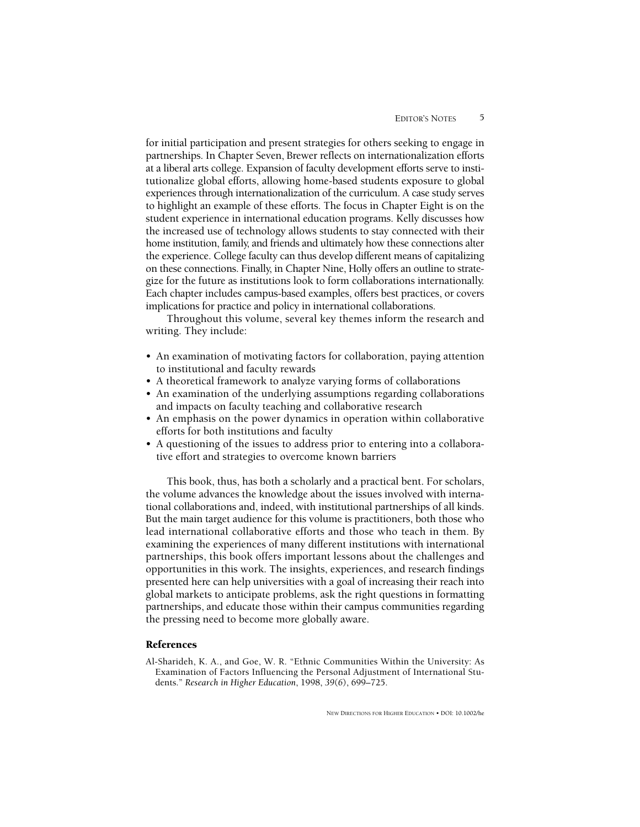for initial participation and present strategies for others seeking to engage in partnerships. In Chapter Seven, Brewer reflects on internationalization efforts at a liberal arts college. Expansion of faculty development efforts serve to institutionalize global efforts, allowing home-based students exposure to global experiences through internationalization of the curriculum. A case study serves to highlight an example of these efforts. The focus in Chapter Eight is on the student experience in international education programs. Kelly discusses how the increased use of technology allows students to stay connected with their home institution, family, and friends and ultimately how these connections alter the experience. College faculty can thus develop different means of capitalizing on these connections. Finally, in Chapter Nine, Holly offers an outline to strategize for the future as institutions look to form collaborations internationally. Each chapter includes campus-based examples, offers best practices, or covers implications for practice and policy in international collaborations.

Throughout this volume, several key themes inform the research and writing. They include:

- An examination of motivating factors for collaboration, paying attention to institutional and faculty rewards
- A theoretical framework to analyze varying forms of collaborations
- An examination of the underlying assumptions regarding collaborations and impacts on faculty teaching and collaborative research
- An emphasis on the power dynamics in operation within collaborative efforts for both institutions and faculty
- A questioning of the issues to address prior to entering into a collaborative effort and strategies to overcome known barriers

This book, thus, has both a scholarly and a practical bent. For scholars, the volume advances the knowledge about the issues involved with international collaborations and, indeed, with institutional partnerships of all kinds. But the main target audience for this volume is practitioners, both those who lead international collaborative efforts and those who teach in them. By examining the experiences of many different institutions with international partnerships, this book offers important lessons about the challenges and opportunities in this work. The insights, experiences, and research findings presented here can help universities with a goal of increasing their reach into global markets to anticipate problems, ask the right questions in formatting partnerships, and educate those within their campus communities regarding the pressing need to become more globally aware.

#### References

Al-Sharideh, K. A., and Goe, W. R. "Ethnic Communities Within the University: As Examination of Factors Influencing the Personal Adjustment of International Students." *Research in Higher Education*, 1998, *39*(*6*), 699–725.